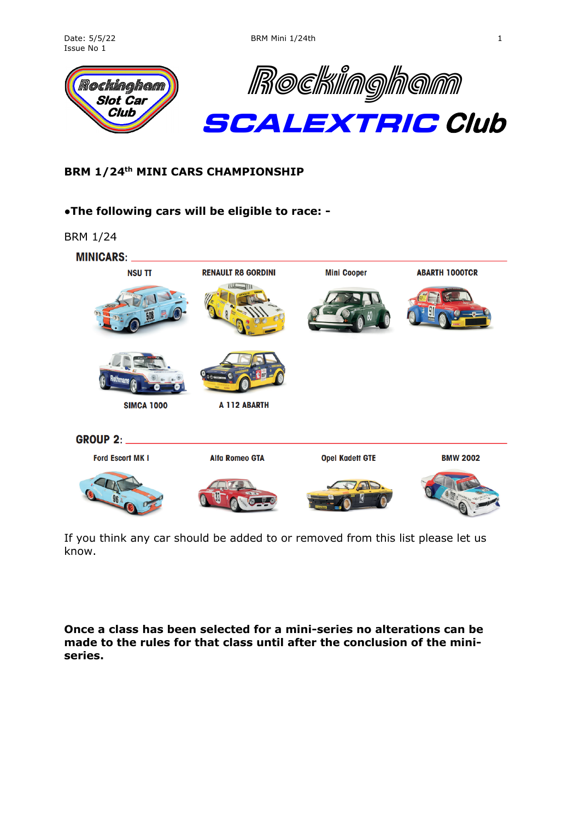

## **BRM 1/24th MINI CARS CHAMPIONSHIP**

#### ●**The following cars will be eligible to race: -**

BRM 1/24



If you think any car should be added to or removed from this list please let us know.

**Once a class has been selected for a mini-series no alterations can be made to the rules for that class until after the conclusion of the miniseries.**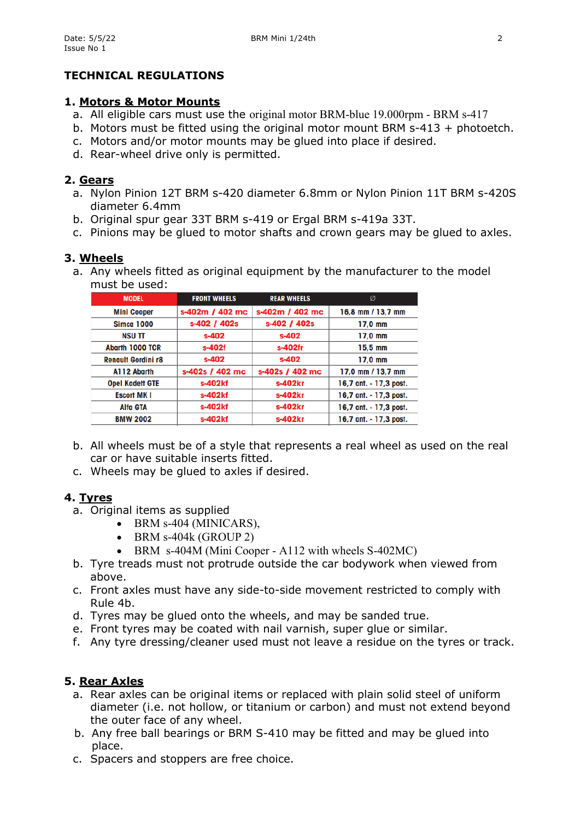## **TECHNICAL REGULATIONS**

#### **1. Motors & Motor Mounts**

- a. All eligible cars must use the original motor BRM-blue 19.000rpm BRM s-417
- b. Motors must be fitted using the original motor mount BRM s-413 + photoetch.
- c. Motors and/or motor mounts may be glued into place if desired.
- d. Rear-wheel drive only is permitted.

#### **2. Gears**

- a. Nylon Pinion 12T BRM s-420 diameter 6.8mm or Nylon Pinion 11T BRM s-420S diameter 6.4mm
- b. Original spur gear 33T BRM s-419 or Ergal BRM s-419a 33T.
- c. Pinions may be glued to motor shafts and crown gears may be glued to axles.

#### **3. Wheels**

a. Any wheels fitted as original equipment by the manufacturer to the model must be used:

| <b>MODEL</b>              | <b>FRONT WHEELS</b> | <b>REAR WHEELS</b> | Ø                      |
|---------------------------|---------------------|--------------------|------------------------|
| <b>Mini Cooper</b>        | s-402m / 402 mc     | s-402m / 402 mc    | 16,8 mm / 13,7 mm      |
| <b>Simca 1000</b>         | s-402 / 402s        | s-402 / 402s       | $17.0$ mm              |
| <b>NSU TT</b>             | $s-402$             | s-402              | 17,0 mm                |
| <b>Abarth 1000 TCR</b>    | s-402f              | s-402fr            | 15,5 mm                |
| <b>Renault Gordini r8</b> | $s-402$             | s-402              | $17.0$ mm              |
| A112 Abarth               | s-402s / 402 mc     | s-402s / 402 mc    | 17,0 mm / 13,7 mm      |
| <b>Opel Kadett GTE</b>    | s-402kf             | s-402kr            | 16,7 ant. - 17,3 post. |
| <b>Escort MKI</b>         | s-402kf             | s-402kr            | 16,7 ant. - 17,3 post. |
| Alfa GTA                  | s-402kf             | s-402kr            | 16,7 ant. - 17,3 post. |
| <b>BMW 2002</b>           | s-402kf             | s-402kr            | 16,7 ant. - 17,3 post. |

- b. All wheels must be of a style that represents a real wheel as used on the real car or have suitable inserts fitted.
- c. Wheels may be glued to axles if desired.

## **4. Tyres**

- a. Original items as supplied
	- BRM s-404 (MINICARS),
	- $\bullet$  BRM s-404k (GROUP 2)
	- BRM s-404M (Mini Cooper A112 with wheels S-402MC)
- b. Tyre treads must not protrude outside the car bodywork when viewed from above.
- c. Front axles must have any side-to-side movement restricted to comply with Rule 4b.
- d. Tyres may be glued onto the wheels, and may be sanded true.
- e. Front tyres may be coated with nail varnish, super glue or similar.
- f. Any tyre dressing/cleaner used must not leave a residue on the tyres or track.

## **5. Rear Axles**

- a. Rear axles can be original items or replaced with plain solid steel of uniform diameter (i.e. not hollow, or titanium or carbon) and must not extend beyond the outer face of any wheel.
- b. Any free ball bearings or BRM S-410 may be fitted and may be glued into place.
- c. Spacers and stoppers are free choice.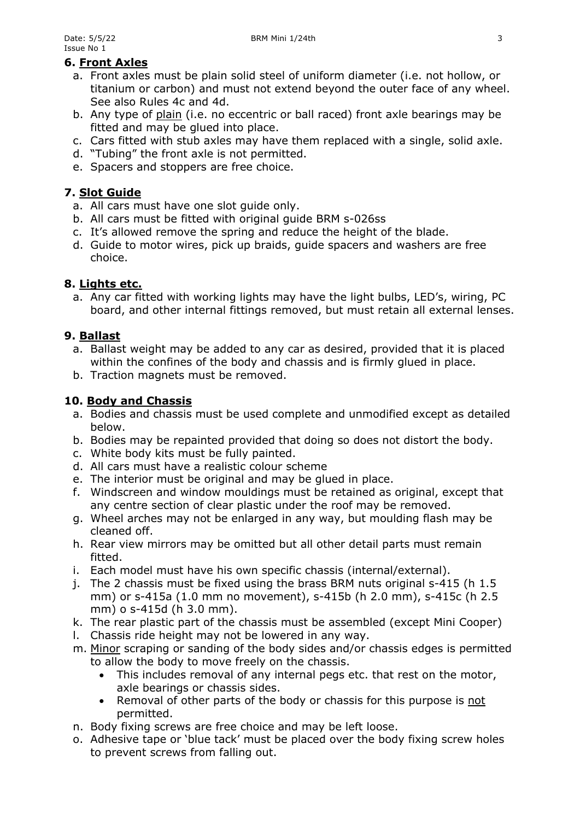# **6. Front Axles**

- a. Front axles must be plain solid steel of uniform diameter (i.e. not hollow, or titanium or carbon) and must not extend beyond the outer face of any wheel. See also Rules 4c and 4d.
- b. Any type of plain (i.e. no eccentric or ball raced) front axle bearings may be fitted and may be glued into place.
- c. Cars fitted with stub axles may have them replaced with a single, solid axle.
- d. "Tubing" the front axle is not permitted.
- e. Spacers and stoppers are free choice.

## **7. Slot Guide**

- a. All cars must have one slot guide only.
- b. All cars must be fitted with original guide BRM s-026ss
- c. It's allowed remove the spring and reduce the height of the blade.
- d. Guide to motor wires, pick up braids, guide spacers and washers are free choice.

## **8. Lights etc.**

a. Any car fitted with working lights may have the light bulbs, LED's, wiring, PC board, and other internal fittings removed, but must retain all external lenses.

## **9. Ballast**

- a. Ballast weight may be added to any car as desired, provided that it is placed within the confines of the body and chassis and is firmly glued in place.
- b. Traction magnets must be removed.

## **10. Body and Chassis**

- a. Bodies and chassis must be used complete and unmodified except as detailed below.
- b. Bodies may be repainted provided that doing so does not distort the body.
- c. White body kits must be fully painted.
- d. All cars must have a realistic colour scheme
- e. The interior must be original and may be glued in place.
- f. Windscreen and window mouldings must be retained as original, except that any centre section of clear plastic under the roof may be removed.
- g. Wheel arches may not be enlarged in any way, but moulding flash may be cleaned off.
- h. Rear view mirrors may be omitted but all other detail parts must remain fitted.
- i. Each model must have his own specific chassis (internal/external).
- j. The 2 chassis must be fixed using the brass BRM nuts original s-415 (h 1.5 mm) or s-415a (1.0 mm no movement), s-415b (h 2.0 mm), s-415c (h 2.5 mm) o s-415d (h 3.0 mm).
- k. The rear plastic part of the chassis must be assembled (except Mini Cooper)
- l. Chassis ride height may not be lowered in any way.
- m. Minor scraping or sanding of the body sides and/or chassis edges is permitted to allow the body to move freely on the chassis.
	- This includes removal of any internal pegs etc. that rest on the motor, axle bearings or chassis sides.
	- Removal of other parts of the body or chassis for this purpose is not permitted.
- n. Body fixing screws are free choice and may be left loose.
- o. Adhesive tape or 'blue tack' must be placed over the body fixing screw holes to prevent screws from falling out.